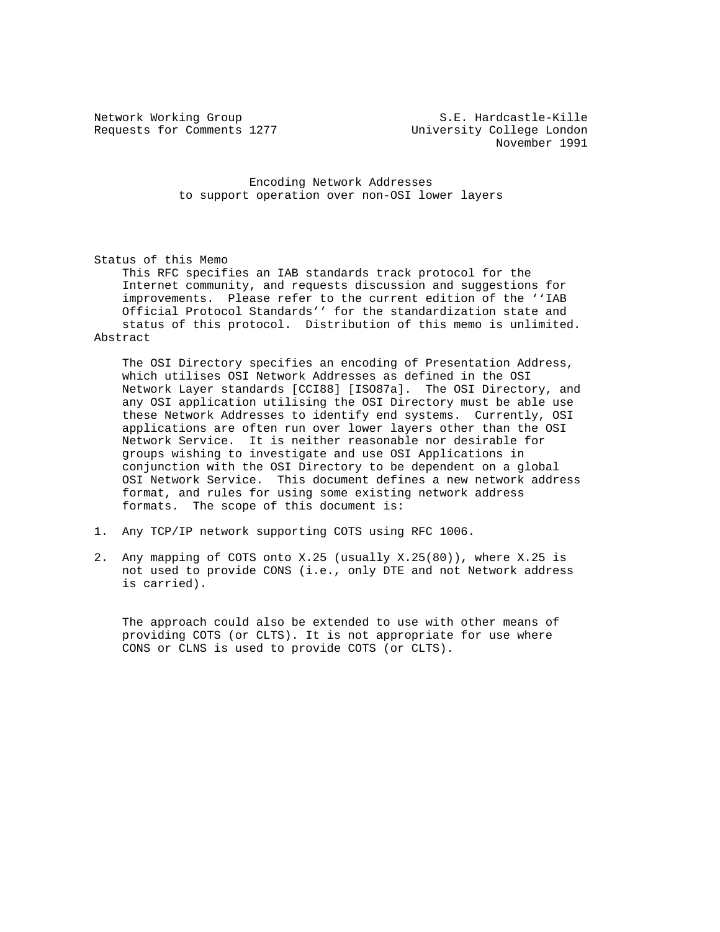Network Working Group S.E. Hardcastle-Kille Requests for Comments 1277 University College London November 1991

> Encoding Network Addresses to support operation over non-OSI lower layers

Status of this Memo

 This RFC specifies an IAB standards track protocol for the Internet community, and requests discussion and suggestions for improvements. Please refer to the current edition of the ''IAB Official Protocol Standards'' for the standardization state and status of this protocol. Distribution of this memo is unlimited. Abstract

 The OSI Directory specifies an encoding of Presentation Address, which utilises OSI Network Addresses as defined in the OSI Network Layer standards [CCI88] [ISO87a]. The OSI Directory, and any OSI application utilising the OSI Directory must be able use these Network Addresses to identify end systems. Currently, OSI applications are often run over lower layers other than the OSI Network Service. It is neither reasonable nor desirable for groups wishing to investigate and use OSI Applications in conjunction with the OSI Directory to be dependent on a global OSI Network Service. This document defines a new network address format, and rules for using some existing network address formats. The scope of this document is:

- 1. Any TCP/IP network supporting COTS using RFC 1006.
- 2. Any mapping of COTS onto X.25 (usually X.25(80)), where X.25 is not used to provide CONS (i.e., only DTE and not Network address is carried).

 The approach could also be extended to use with other means of providing COTS (or CLTS). It is not appropriate for use where CONS or CLNS is used to provide COTS (or CLTS).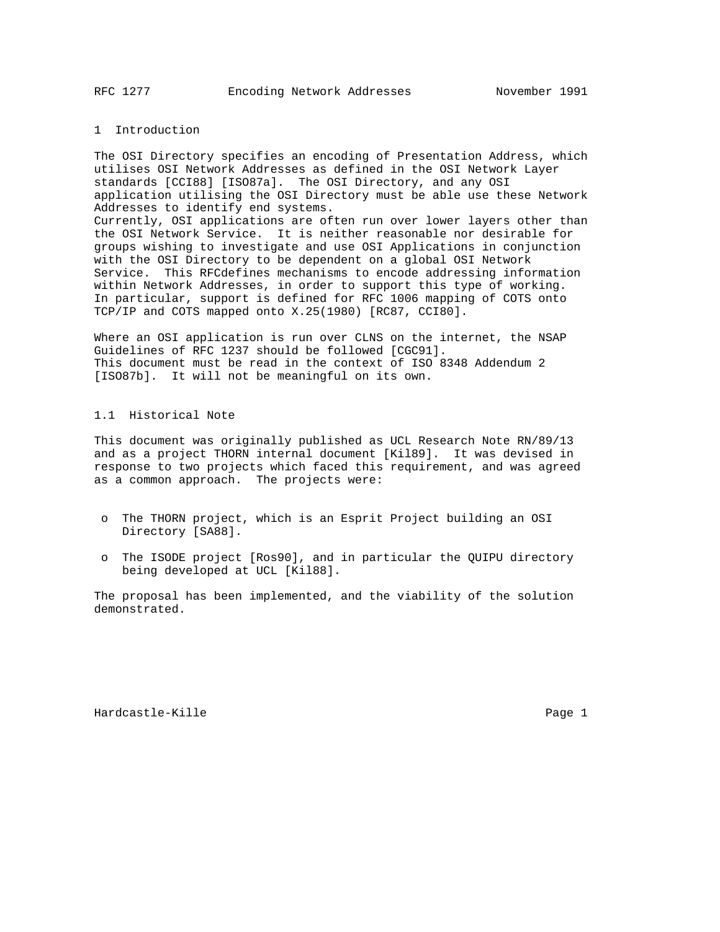## 1 Introduction

The OSI Directory specifies an encoding of Presentation Address, which utilises OSI Network Addresses as defined in the OSI Network Layer standards [CCI88] [ISO87a]. The OSI Directory, and any OSI application utilising the OSI Directory must be able use these Network Addresses to identify end systems. Currently, OSI applications are often run over lower layers other than the OSI Network Service. It is neither reasonable nor desirable for groups wishing to investigate and use OSI Applications in conjunction with the OSI Directory to be dependent on a global OSI Network Service. This RFCdefines mechanisms to encode addressing information within Network Addresses, in order to support this type of working. In particular, support is defined for RFC 1006 mapping of COTS onto TCP/IP and COTS mapped onto X.25(1980) [RC87, CCI80].

Where an OSI application is run over CLNS on the internet, the NSAP Guidelines of RFC 1237 should be followed [CGC91]. This document must be read in the context of ISO 8348 Addendum 2 [ISO87b]. It will not be meaningful on its own.

# 1.1 Historical Note

This document was originally published as UCL Research Note RN/89/13 and as a project THORN internal document [Kil89]. It was devised in response to two projects which faced this requirement, and was agreed as a common approach. The projects were:

- o The THORN project, which is an Esprit Project building an OSI Directory [SA88].
- o The ISODE project [Ros90], and in particular the QUIPU directory being developed at UCL [Kil88].

The proposal has been implemented, and the viability of the solution demonstrated.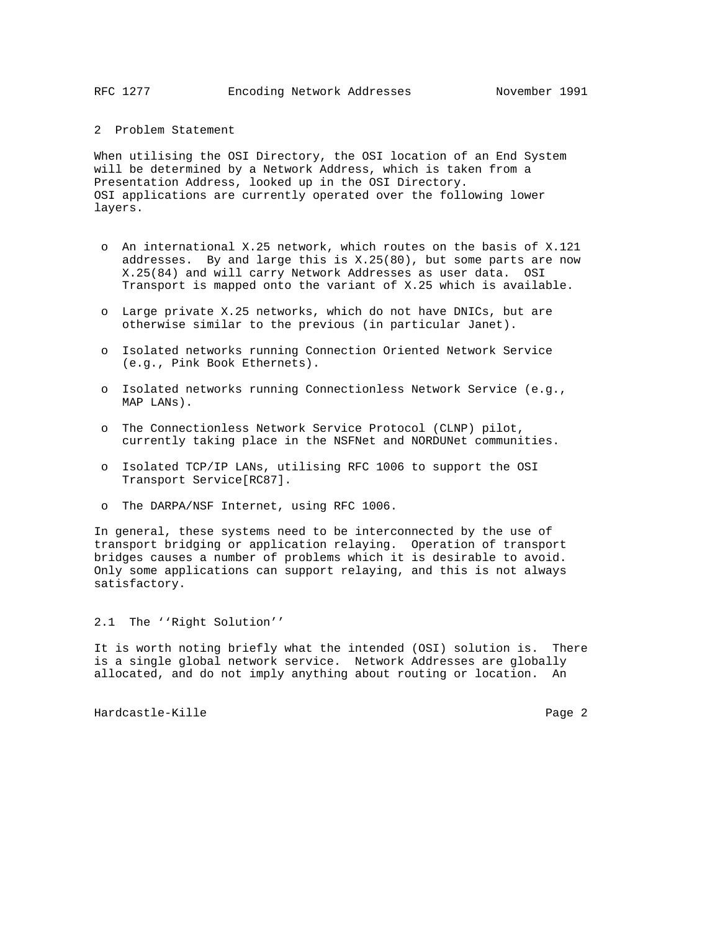## 2 Problem Statement

When utilising the OSI Directory, the OSI location of an End System will be determined by a Network Address, which is taken from a Presentation Address, looked up in the OSI Directory. OSI applications are currently operated over the following lower layers.

- o An international X.25 network, which routes on the basis of X.121 addresses. By and large this is X.25(80), but some parts are now X.25(84) and will carry Network Addresses as user data. OSI Transport is mapped onto the variant of X.25 which is available.
- o Large private X.25 networks, which do not have DNICs, but are otherwise similar to the previous (in particular Janet).
- o Isolated networks running Connection Oriented Network Service (e.g., Pink Book Ethernets).
- o Isolated networks running Connectionless Network Service (e.g., MAP LANs).
- o The Connectionless Network Service Protocol (CLNP) pilot, currently taking place in the NSFNet and NORDUNet communities.
- o Isolated TCP/IP LANs, utilising RFC 1006 to support the OSI Transport Service[RC87].
- o The DARPA/NSF Internet, using RFC 1006.

In general, these systems need to be interconnected by the use of transport bridging or application relaying. Operation of transport bridges causes a number of problems which it is desirable to avoid. Only some applications can support relaying, and this is not always satisfactory.

2.1 The ''Right Solution''

It is worth noting briefly what the intended (OSI) solution is. There is a single global network service. Network Addresses are globally allocated, and do not imply anything about routing or location. An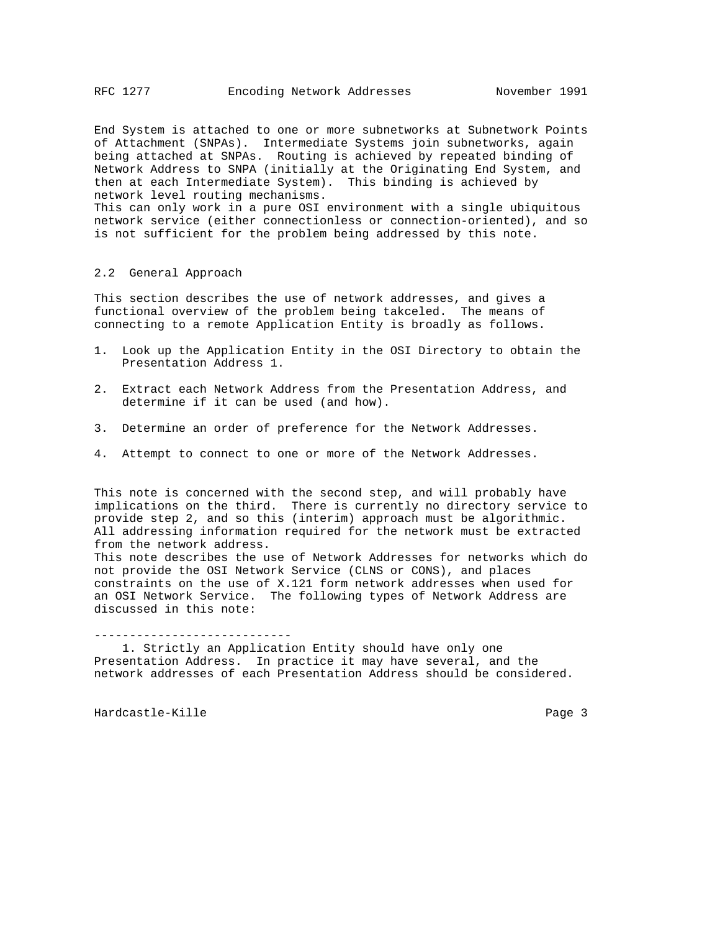End System is attached to one or more subnetworks at Subnetwork Points of Attachment (SNPAs). Intermediate Systems join subnetworks, again being attached at SNPAs. Routing is achieved by repeated binding of Network Address to SNPA (initially at the Originating End System, and then at each Intermediate System). This binding is achieved by network level routing mechanisms. This can only work in a pure OSI environment with a single ubiquitous network service (either connectionless or connection-oriented), and so is not sufficient for the problem being addressed by this note.

#### 2.2 General Approach

This section describes the use of network addresses, and gives a functional overview of the problem being takceled. The means of connecting to a remote Application Entity is broadly as follows.

- 1. Look up the Application Entity in the OSI Directory to obtain the Presentation Address 1.
- 2. Extract each Network Address from the Presentation Address, and determine if it can be used (and how).
- 3. Determine an order of preference for the Network Addresses.
- 4. Attempt to connect to one or more of the Network Addresses.

This note is concerned with the second step, and will probably have implications on the third. There is currently no directory service to provide step 2, and so this (interim) approach must be algorithmic. All addressing information required for the network must be extracted from the network address. This note describes the use of Network Addresses for networks which do not provide the OSI Network Service (CLNS or CONS), and places constraints on the use of X.121 form network addresses when used for an OSI Network Service. The following types of Network Address are

----------------------------

discussed in this note:

 1. Strictly an Application Entity should have only one Presentation Address. In practice it may have several, and the network addresses of each Presentation Address should be considered.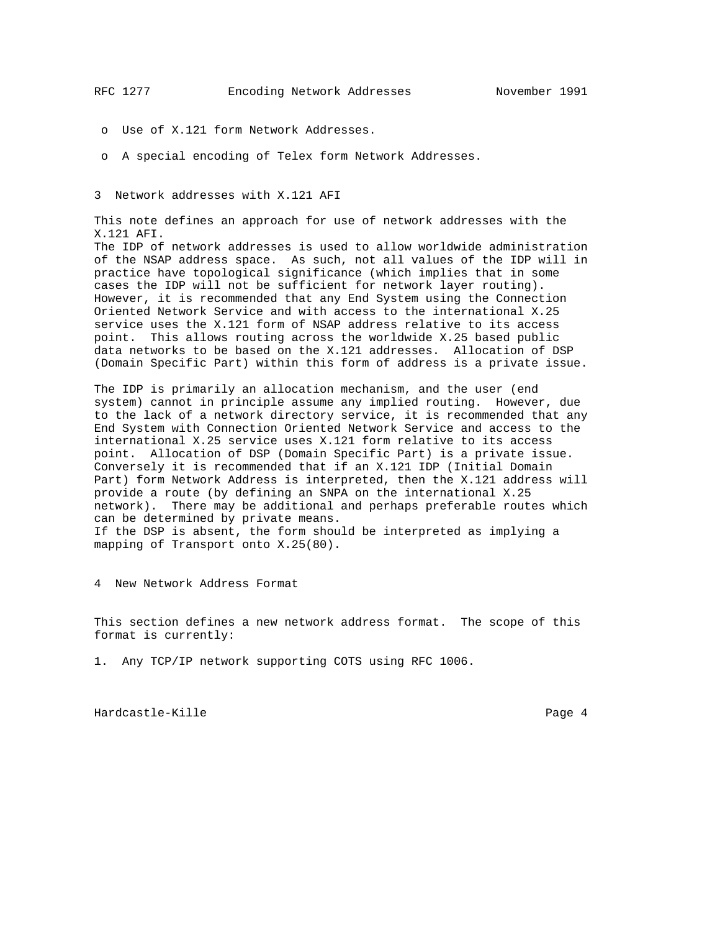- o Use of X.121 form Network Addresses.
- o A special encoding of Telex form Network Addresses.

3 Network addresses with X.121 AFI

This note defines an approach for use of network addresses with the X.121 AFI.

The IDP of network addresses is used to allow worldwide administration of the NSAP address space. As such, not all values of the IDP will in practice have topological significance (which implies that in some cases the IDP will not be sufficient for network layer routing). However, it is recommended that any End System using the Connection Oriented Network Service and with access to the international X.25 service uses the X.121 form of NSAP address relative to its access point. This allows routing across the worldwide X.25 based public data networks to be based on the X.121 addresses. Allocation of DSP (Domain Specific Part) within this form of address is a private issue.

The IDP is primarily an allocation mechanism, and the user (end system) cannot in principle assume any implied routing. However, due to the lack of a network directory service, it is recommended that any End System with Connection Oriented Network Service and access to the international X.25 service uses X.121 form relative to its access point. Allocation of DSP (Domain Specific Part) is a private issue. Conversely it is recommended that if an X.121 IDP (Initial Domain Part) form Network Address is interpreted, then the X.121 address will provide a route (by defining an SNPA on the international X.25 network). There may be additional and perhaps preferable routes which can be determined by private means. If the DSP is absent, the form should be interpreted as implying a mapping of Transport onto X.25(80).

4 New Network Address Format

This section defines a new network address format. The scope of this format is currently:

1. Any TCP/IP network supporting COTS using RFC 1006.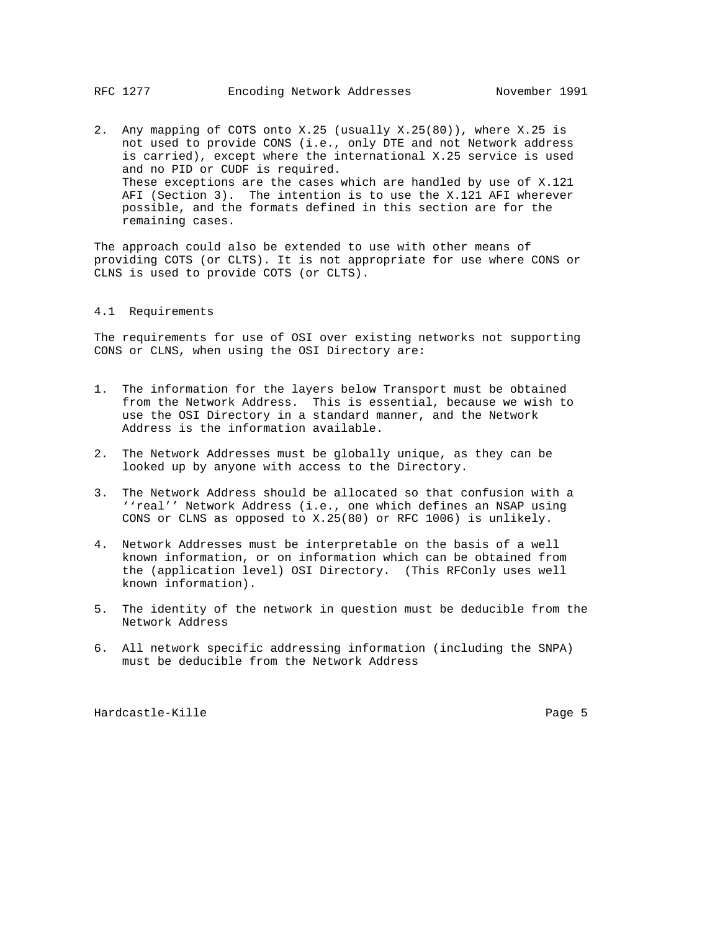2. Any mapping of COTS onto X.25 (usually X.25(80)), where X.25 is not used to provide CONS (i.e., only DTE and not Network address is carried), except where the international X.25 service is used and no PID or CUDF is required. These exceptions are the cases which are handled by use of X.121 AFI (Section 3). The intention is to use the X.121 AFI wherever possible, and the formats defined in this section are for the remaining cases.

The approach could also be extended to use with other means of providing COTS (or CLTS). It is not appropriate for use where CONS or CLNS is used to provide COTS (or CLTS).

## 4.1 Requirements

The requirements for use of OSI over existing networks not supporting CONS or CLNS, when using the OSI Directory are:

- 1. The information for the layers below Transport must be obtained from the Network Address. This is essential, because we wish to use the OSI Directory in a standard manner, and the Network Address is the information available.
- 2. The Network Addresses must be globally unique, as they can be looked up by anyone with access to the Directory.
- 3. The Network Address should be allocated so that confusion with a ''real'' Network Address (i.e., one which defines an NSAP using CONS or CLNS as opposed to X.25(80) or RFC 1006) is unlikely.
- 4. Network Addresses must be interpretable on the basis of a well known information, or on information which can be obtained from the (application level) OSI Directory. (This RFConly uses well known information).
- 5. The identity of the network in question must be deducible from the Network Address
- 6. All network specific addressing information (including the SNPA) must be deducible from the Network Address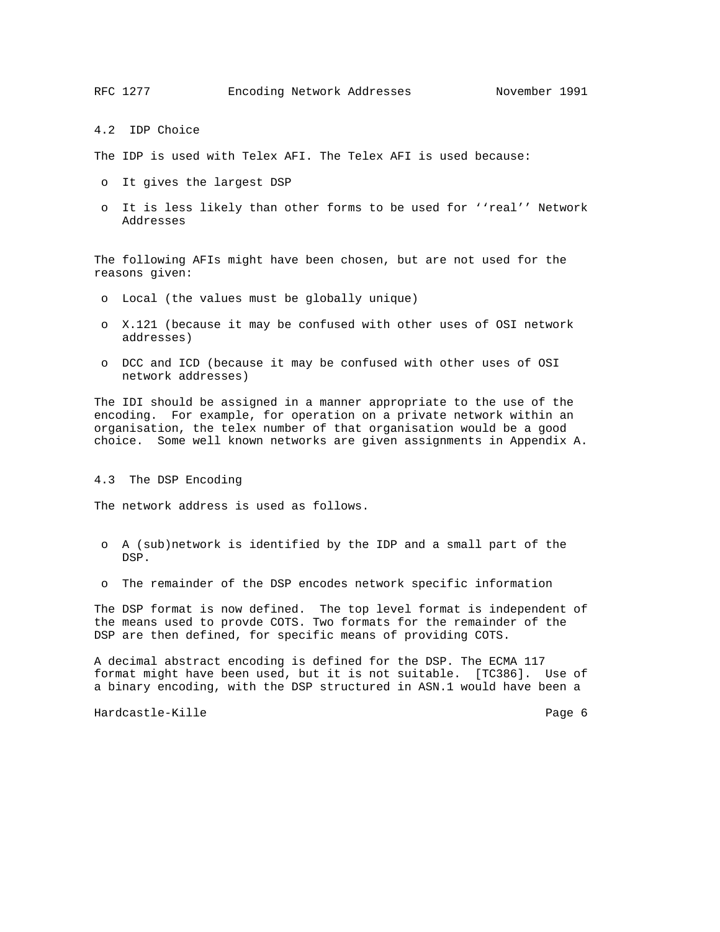4.2 IDP Choice

The IDP is used with Telex AFI. The Telex AFI is used because:

- o It gives the largest DSP
- o It is less likely than other forms to be used for ''real'' Network Addresses

The following AFIs might have been chosen, but are not used for the reasons given:

- o Local (the values must be globally unique)
- o X.121 (because it may be confused with other uses of OSI network addresses)
- o DCC and ICD (because it may be confused with other uses of OSI network addresses)

The IDI should be assigned in a manner appropriate to the use of the encoding. For example, for operation on a private network within an organisation, the telex number of that organisation would be a good choice. Some well known networks are given assignments in Appendix A.

#### 4.3 The DSP Encoding

The network address is used as follows.

- o A (sub)network is identified by the IDP and a small part of the DSP.
- o The remainder of the DSP encodes network specific information

The DSP format is now defined. The top level format is independent of the means used to provde COTS. Two formats for the remainder of the DSP are then defined, for specific means of providing COTS.

A decimal abstract encoding is defined for the DSP. The ECMA 117 format might have been used, but it is not suitable. [TC386]. Use of a binary encoding, with the DSP structured in ASN.1 would have been a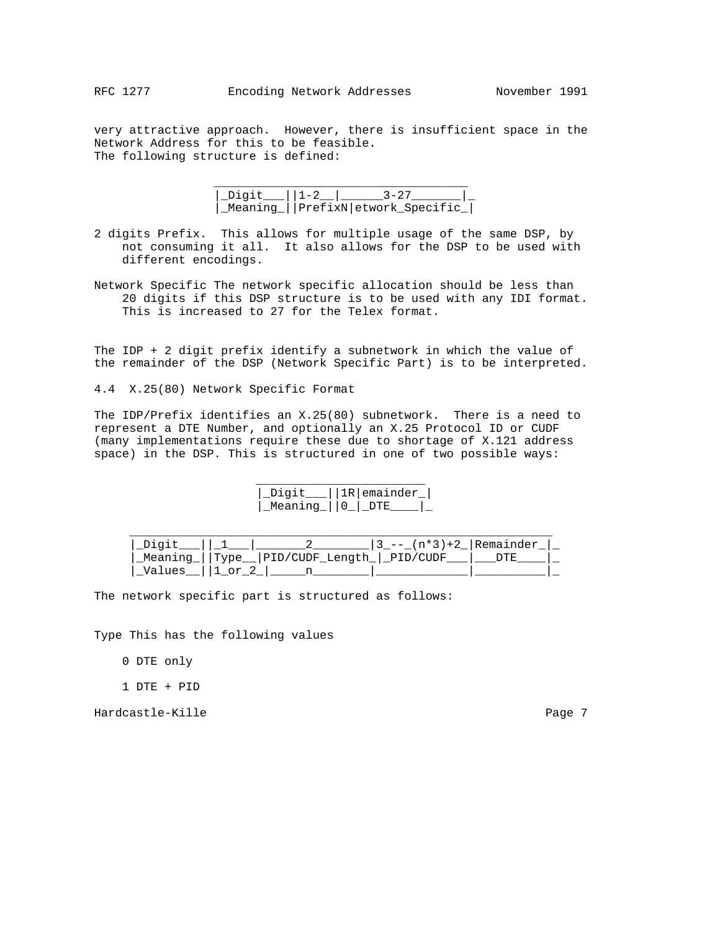very attractive approach. However, there is insufficient space in the Network Address for this to be feasible. The following structure is defined:

 $\overline{\phantom{a}}$  ,  $\overline{\phantom{a}}$  ,  $\overline{\phantom{a}}$  ,  $\overline{\phantom{a}}$  ,  $\overline{\phantom{a}}$  ,  $\overline{\phantom{a}}$  ,  $\overline{\phantom{a}}$  ,  $\overline{\phantom{a}}$  ,  $\overline{\phantom{a}}$  ,  $\overline{\phantom{a}}$  ,  $\overline{\phantom{a}}$  ,  $\overline{\phantom{a}}$  ,  $\overline{\phantom{a}}$  ,  $\overline{\phantom{a}}$  ,  $\overline{\phantom{a}}$  ,  $\overline{\phantom{a}}$  |\_Digit\_\_\_||1-2\_\_|\_\_\_\_\_\_3-27\_\_\_\_\_\_\_|\_ |\_Meaning\_||PrefixN|etwork\_Specific\_|

- 2 digits Prefix. This allows for multiple usage of the same DSP, by not consuming it all. It also allows for the DSP to be used with different encodings.
- Network Specific The network specific allocation should be less than 20 digits if this DSP structure is to be used with any IDI format. This is increased to 27 for the Telex format.

The IDP + 2 digit prefix identify a subnetwork in which the value of the remainder of the DSP (Network Specific Part) is to be interpreted.

4.4 X.25(80) Network Specific Format

The IDP/Prefix identifies an X.25(80) subnetwork. There is a need to represent a DTE Number, and optionally an X.25 Protocol ID or CUDF (many implementations require these due to shortage of X.121 address space) in the DSP. This is structured in one of two possible ways:

> |\_Digit\_\_\_||1R|emainder\_| |\_Meaning\_||0\_|\_DTE\_\_\_\_|\_

|  |                                              | $13_{-}$ --_ (n*3) +2_   Remainder |  |
|--|----------------------------------------------|------------------------------------|--|
|  | Meaning    Type   PID/CUDF Length   PID/CUDF |                                    |  |
|  |                                              |                                    |  |

The network specific part is structured as follows:

 $\frac{1}{2}$  ,  $\frac{1}{2}$  ,  $\frac{1}{2}$  ,  $\frac{1}{2}$  ,  $\frac{1}{2}$  ,  $\frac{1}{2}$  ,  $\frac{1}{2}$  ,  $\frac{1}{2}$  ,  $\frac{1}{2}$  ,  $\frac{1}{2}$  ,  $\frac{1}{2}$  ,  $\frac{1}{2}$  ,  $\frac{1}{2}$  ,  $\frac{1}{2}$  ,  $\frac{1}{2}$  ,  $\frac{1}{2}$  ,  $\frac{1}{2}$  ,  $\frac{1}{2}$  ,  $\frac{1$ 

Type This has the following values

0 DTE only

1 DTE + PID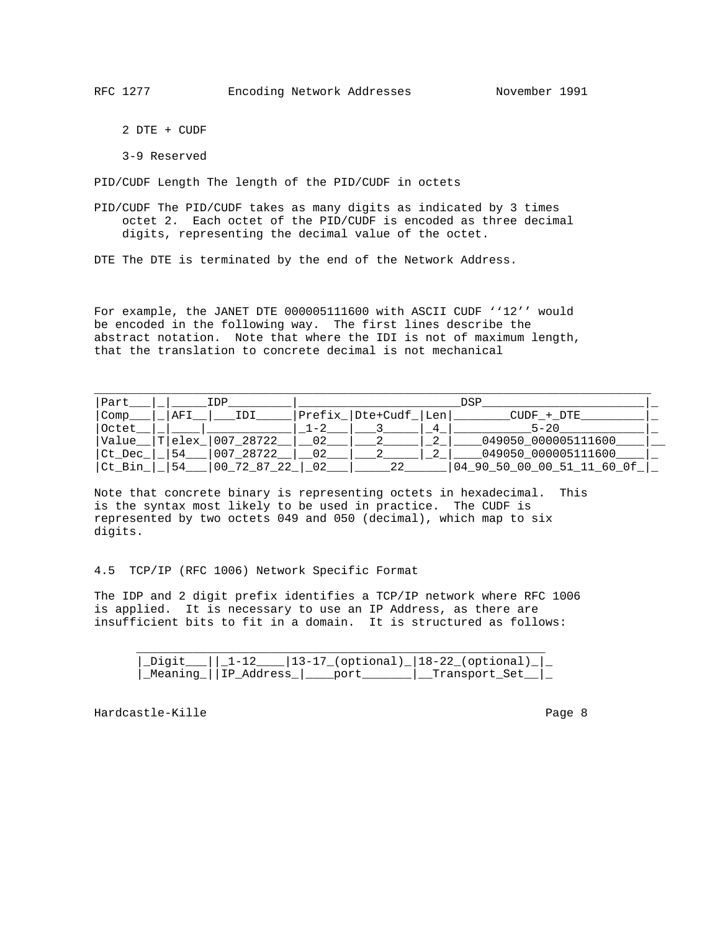2 DTE + CUDF

3-9 Reserved

PID/CUDF Length The length of the PID/CUDF in octets

PID/CUDF The PID/CUDF takes as many digits as indicated by 3 times octet 2. Each octet of the PID/CUDF is encoded as three decimal digits, representing the decimal value of the octet.

DTE The DTE is terminated by the end of the Network Address.

For example, the JANET DTE 000005111600 with ASCII CUDF ''12'' would be encoded in the following way. The first lines describe the abstract notation. Note that where the IDI is not of maximum length, that the translation to concrete decimal is not mechanical

| Part   | IDP |     | DSP               |         |                                |   |                            |  |
|--------|-----|-----|-------------------|---------|--------------------------------|---|----------------------------|--|
| Comp   |     | AFI | IDI               |         | $Prefix$ Dte+Cudf $\lceil$ Len |   | CUDF + DTE                 |  |
| Octet  |     |     |                   | $1 - 2$ |                                | 4 | $5 - 20$                   |  |
| Value_ |     |     | T elex  007 28722 | 02      |                                |   | _049050_000005111600_      |  |
| Ct Dec |     | 54  | 007 28722         |         |                                |   | 049050 000005111600        |  |
| Ct Bin |     | 54  | 00 72 87 22       | 0.2     | 2.2.                           |   | 04 90 50 00 00 51 11 60 0f |  |

Note that concrete binary is representing octets in hexadecimal. This is the syntax most likely to be used in practice. The CUDF is represented by two octets 049 and 050 (decimal), which map to six digits.

4.5 TCP/IP (RFC 1006) Network Specific Format

The IDP and 2 digit prefix identifies a TCP/IP network where RFC 1006 is applied. It is necessary to use an IP Address, as there are insufficient bits to fit in a domain. It is structured as follows:

|  | $11.1-12$   | 13-17 (optional)  18-22 (optic | onal) l |  |
|--|-------------|--------------------------------|---------|--|
|  | Add:<br>ں ، |                                |         |  |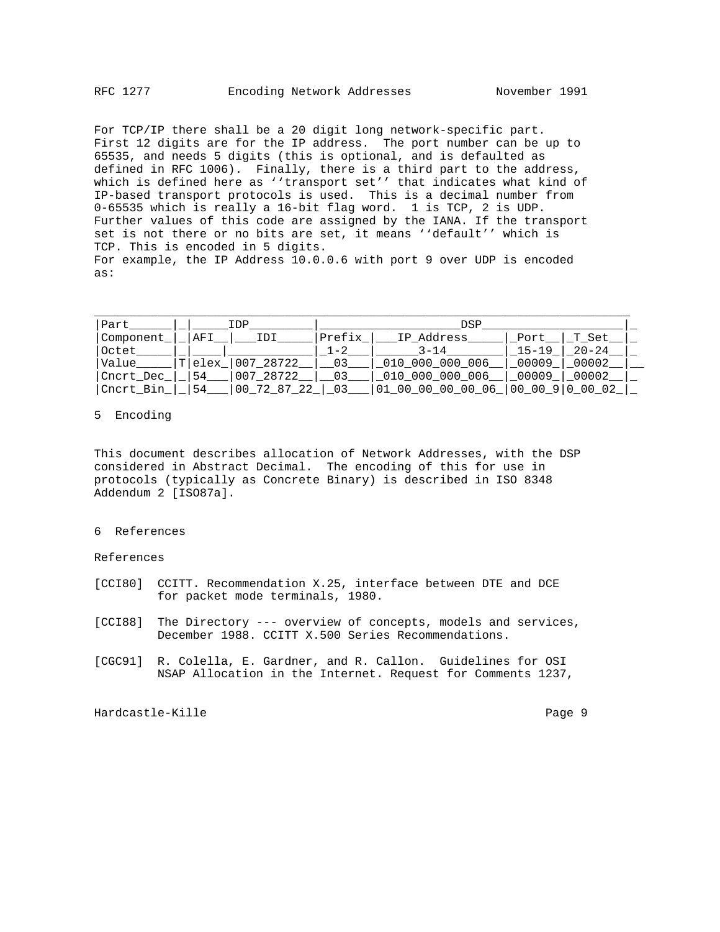For TCP/IP there shall be a 20 digit long network-specific part. First 12 digits are for the IP address. The port number can be up to 65535, and needs 5 digits (this is optional, and is defaulted as defined in RFC 1006). Finally, there is a third part to the address, which is defined here as ''transport set'' that indicates what kind of IP-based transport protocols is used. This is a decimal number from 0-65535 which is really a 16-bit flag word. 1 is TCP, 2 is UDP. Further values of this code are assigned by the IANA. If the transport set is not there or no bits are set, it means ''default'' which is TCP. This is encoded in 5 digits. For example, the IP Address 10.0.0.6 with port 9 over UDP is encoded as:

| Part      |        | TDP         |         | DSP               |           |                  |  |
|-----------|--------|-------------|---------|-------------------|-----------|------------------|--|
| Component | AFI    | IDI         | Prefix  | IP Address        | Port      | T Set            |  |
| Octet     |        |             | $1 - 2$ | $3 - 14$          | $15 - 19$ | $20 - 24$        |  |
| Value     | Tlelex | 007 28722   | 03      | 010 000 000 006   | 00009     | 00002            |  |
| Cncrt Dec | 54     | 007 28722   | 03      | 010 000 000 006   | 00009     | 00002            |  |
| Cncrt Bin | 54     | 00 72 87 22 | 03      | 01 00 00 00 00 06 |           | 00 00 9 00 00 02 |  |

## 5 Encoding

This document describes allocation of Network Addresses, with the DSP considered in Abstract Decimal. The encoding of this for use in protocols (typically as Concrete Binary) is described in ISO 8348 Addendum 2 [ISO87a].

#### 6 References

References

- [CCI80] CCITT. Recommendation X.25, interface between DTE and DCE for packet mode terminals, 1980.
- [CCI88] The Directory --- overview of concepts, models and services, December 1988. CCITT X.500 Series Recommendations.
- [CGC91] R. Colella, E. Gardner, and R. Callon. Guidelines for OSI NSAP Allocation in the Internet. Request for Comments 1237,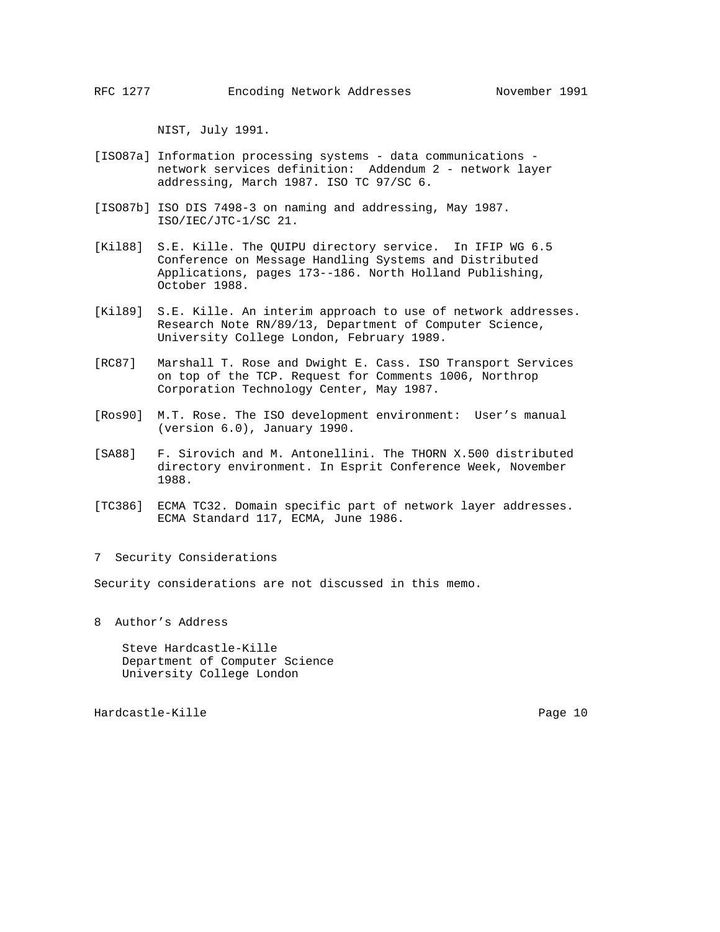NIST, July 1991.

- [ISO87a] Information processing systems data communications network services definition: Addendum 2 - network layer addressing, March 1987. ISO TC 97/SC 6.
- [ISO87b] ISO DIS 7498-3 on naming and addressing, May 1987. ISO/IEC/JTC-1/SC 21.
- [Kil88] S.E. Kille. The QUIPU directory service. In IFIP WG 6.5 Conference on Message Handling Systems and Distributed Applications, pages 173--186. North Holland Publishing, October 1988.
- [Kil89] S.E. Kille. An interim approach to use of network addresses. Research Note RN/89/13, Department of Computer Science, University College London, February 1989.
- [RC87] Marshall T. Rose and Dwight E. Cass. ISO Transport Services on top of the TCP. Request for Comments 1006, Northrop Corporation Technology Center, May 1987.
- [Ros90] M.T. Rose. The ISO development environment: User's manual (version 6.0), January 1990.
- [SA88] F. Sirovich and M. Antonellini. The THORN X.500 distributed directory environment. In Esprit Conference Week, November 1988.
- [TC386] ECMA TC32. Domain specific part of network layer addresses. ECMA Standard 117, ECMA, June 1986.
- 7 Security Considerations

Security considerations are not discussed in this memo.

8 Author's Address

 Steve Hardcastle-Kille Department of Computer Science University College London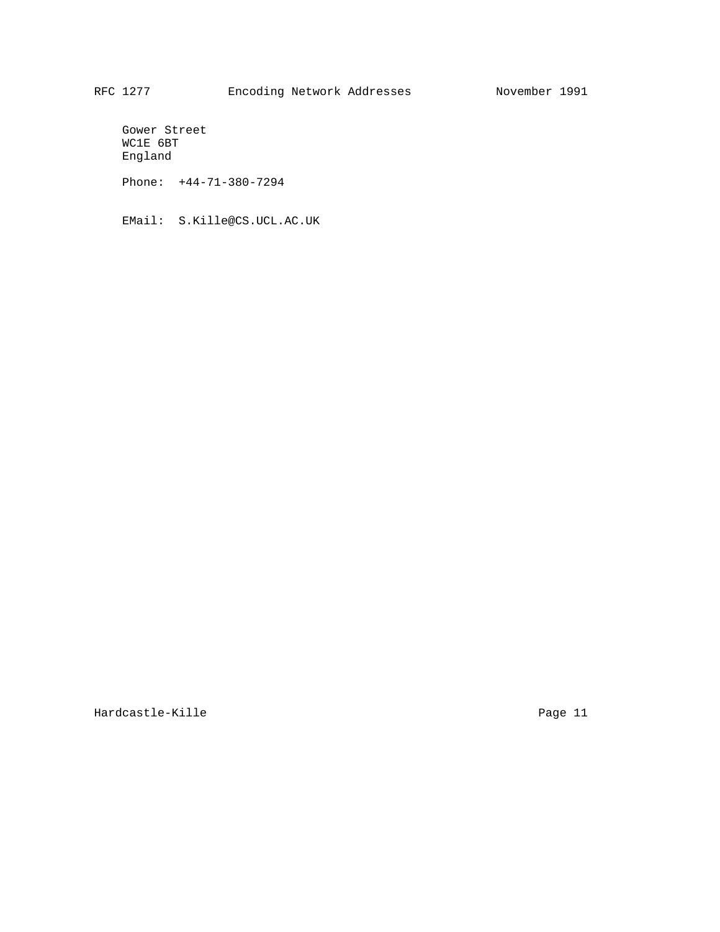Gower Street WC1E 6BT England

Phone: +44-71-380-7294

EMail: S.Kille@CS.UCL.AC.UK